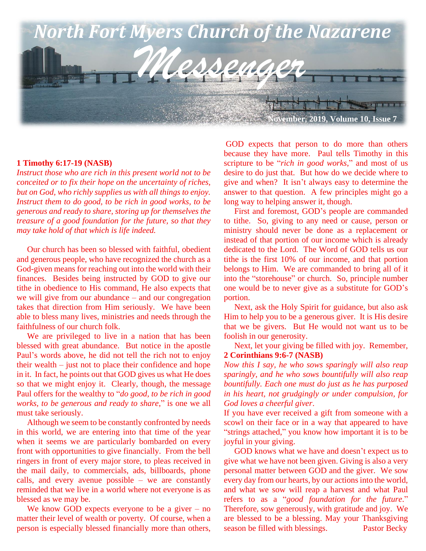

#### **1 Timothy 6:17-19 (NASB)**

*Instruct those who are rich in this present world not to be conceited or to fix their hope on the uncertainty of riches, but on God, who richly supplies us with all things to enjoy. Instruct them to do good, to be rich in good works, to be generous and ready to share, storing up for themselves the treasure of a good foundation for the future, so that they may take hold of that which is life indeed.*

 Our church has been so blessed with faithful, obedient and generous people, who have recognized the church as a God-given means for reaching out into the world with their finances. Besides being instructed by GOD to give our tithe in obedience to His command, He also expects that we will give from our abundance – and our congregation takes that direction from Him seriously. We have been able to bless many lives, ministries and needs through the faithfulness of our church folk.

 We are privileged to live in a nation that has been blessed with great abundance. But notice in the apostle Paul's words above, he did not tell the rich not to enjoy their wealth – just not to place their confidence and hope in it. In fact, he points out that GOD gives us what He does so that we might enjoy it. Clearly, though, the message Paul offers for the wealthy to "*do good, to be rich in good works, to be generous and ready to share*," is one we all must take seriously.

 Although we seem to be constantly confronted by needs in this world, we are entering into that time of the year when it seems we are particularly bombarded on every front with opportunities to give financially. From the bell ringers in front of every major store, to pleas received in the mail daily, to commercials, ads, billboards, phone calls, and every avenue possible – we are constantly reminded that we live in a world where not everyone is as blessed as we may be.

We know GOD expects everyone to be a giver  $-$  no matter their level of wealth or poverty. Of course, when a person is especially blessed financially more than others,

GOD expects that person to do more than others because they have more. Paul tells Timothy in this scripture to be "*rich in good works*," and most of us desire to do just that. But how do we decide where to give and when? It isn't always easy to determine the answer to that question. A few principles might go a long way to helping answer it, though.

 First and foremost, GOD's people are commanded to tithe. So, giving to any need or cause, person or ministry should never be done as a replacement or instead of that portion of our income which is already dedicated to the Lord. The Word of GOD tells us our tithe is the first 10% of our income, and that portion belongs to Him. We are commanded to bring all of it into the "storehouse" or church. So, principle number one would be to never give as a substitute for GOD's portion.

 Next, ask the Holy Spirit for guidance, but also ask Him to help you to be a generous giver. It is His desire that we be givers. But He would not want us to be foolish in our generosity.

 Next, let your giving be filled with joy. Remember, **2 Corinthians 9:6-7 (NASB)**

*Now this I say, he who sows sparingly will also reap sparingly, and he who sows bountifully will also reap bountifully. Each one must do just as he has purposed in his heart, not grudgingly or under compulsion, for God loves a cheerful giver*.

If you have ever received a gift from someone with a scowl on their face or in a way that appeared to have "strings attached," you know how important it is to be joyful in your giving.

 GOD knows what we have and doesn't expect us to give what we have not been given. Giving is also a very personal matter between GOD and the giver. We sow every day from our hearts, by our actions into the world, and what we sow will reap a harvest and what Paul refers to as a "*good foundation for the future*." Therefore, sow generously, with gratitude and joy. We are blessed to be a blessing. May your Thanksgiving season be filled with blessings. Pastor Becky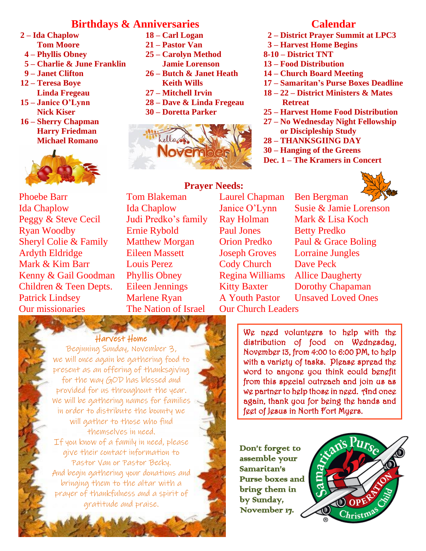## **Birthdays & Anniversaries**

- **2 – Ida Chaplow 18 – Carl Logan**
	-
	-
- **5 – Charlie & June Franklin Jamie Lorenson**
- 
- 
- 
- 
- **16 – Sherry Chapman Harry Friedman Michael Romano**



**Patrick Lindsey Our missionaries** Phoebe Barr Tom Blakeman Laurel Chapman Ben Bergman Ida Chaplow Ida Chaplow Janice O'Lynn Susie & Jamie Lorenson Peggy & Steve Cecil Judi Predko's family Ray Holman Mark & Lisa Koch Ryan Woodby Ernie Rybold Paul Jones Betty Predko Sheryl Colie & Family Matthew Morgan Orion Predko Paul & Grace Boling Ardyth Eldridge Eileen Massett Joseph Groves Lorraine Jungles Mark & Kim Barr Louis Perez Cody Church Dave Peck

 $H_1$ 

- **Tom Moore 21 – Pastor Van**
- **4 – Phyllis Obney 25 – Carolyn Method**
	-
- **9 – Janet Clifton 26 – Butch & Janet Heath** 12 – **Teresa Boye** Keith Wills
	- **Linda Fregeau 27 – Mitchell Irvin**
- **15 – Janice O'Lynn 28 – Dave & Linda Fregeau**
	- **Nick Kiser 30 – Doretta Parker**



#### **Prayer Needs:**

The Nation of Israel Our Church Leaders

### **Calendar**

- **2 – District Prayer Summit at LPC3**
- **3 – Harvest Home Begins**
- **8-10 – District TNT**
- **13 – Food Distribution**
- **14 – Church Board Meeting**
- **17 – Samaritan's Purse Boxes Deadline**
- **18 – 22 – District Ministers & Mates Retreat**
- **25 – Harvest Home Food Distribution**
- **27 – No Wednesday Night Fellowship or Discipleship Study**
- **28 – THANKSGIING DAY**
- **30 – Hanging of the Greens**
- **Dec. 1 – The Kramers in Concert**



We need volunteers to help with the distribution of food on Wednesday, November 13, from 4:00 to 6:00 PM, to help with a variety of tasks. Please spread the word to anyone you think could benefit from this special outreach and join us as we partner to help those in need. And once again, thank you for being the hands and **Children & Teen Depts.** Eileen Jennings Kitty Baxter Dorothy Chapaman Kenny & Gail Goodman Phyllis Obney Regina Williams Allice Daugherty Marlene Ryan A Youth Pastor Unsaved Loved Ones

Don't forget to assemble your Samaritan's Purse boxes and bring them in by Sunday, November 17.

feet of Jesus in North Fort Myers.



#### Our military, our leaders and Harvest Home

Beginning Sunday, November 3, we will once again be gathering food to present as an offering of thanksgiving for the way GOD has blessed and provided for us throughout the year. We will be gathering names for families in order to distribute the bounty we will gather to those who find themselves in need. If you know of a family in need, please give their contact information to Pastor Van or Pastor Becky. And begin gathering your donations and bringing them to the altar with a prayer of thankfulness and a spirit of gratitude and praise.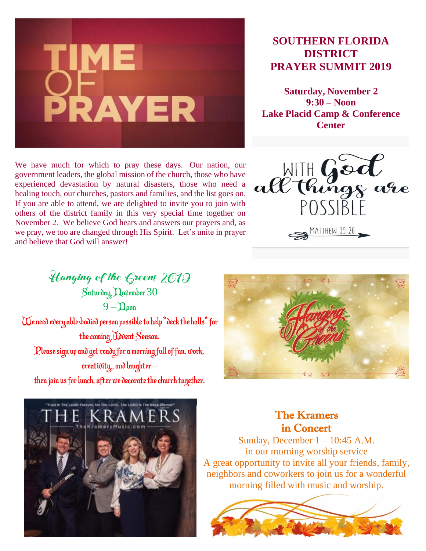

# **SOUTHERN FLORIDA DISTRICT PRAYER SUMMIT 2019**

**Saturday, November 2 9:30 – Noon Lake Placid Camp & Conference Center**

We have much for which to pray these days. Our nation, our government leaders, the global mission of the church, those who have experienced devastation by natural disasters, those who need a healing touch, our churches, pastors and families, and the list goes on. If you are able to attend, we are delighted to invite you to join with others of the district family in this very special time together on November 2. We believe God hears and answers our prayers and, as we pray, we too are changed through His Spirit. Let's unite in prayer and believe that God will answer!



Hanging of the Greens 2019 Saturday, November 30  $9 -$ Doon We need every able-bodied person possible to help "deck the halls" for the coming Advent Season. Please sign up and get ready for a morning full of fun, work, creativity,, and laughter – then join us for lunch, after we decorate the church together.





The Kramers in Concert

Sunday, December  $1 - 10:45$  A.M. in our morning worship service A great opportunity to invite all your friends, family, neighbors and coworkers to join us for a wonderful morning filled with music and worship.